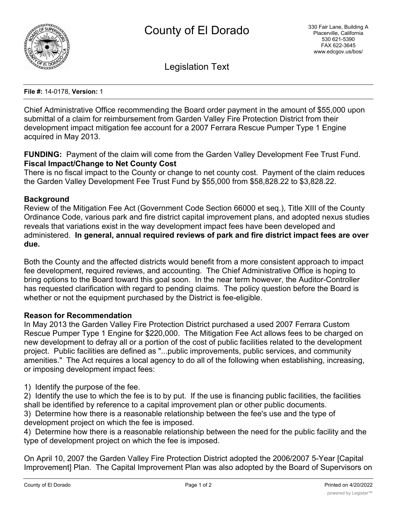

Legislation Text

**File #:** 14-0178, **Version:** 1

Chief Administrative Office recommending the Board order payment in the amount of \$55,000 upon submittal of a claim for reimbursement from Garden Valley Fire Protection District from their development impact mitigation fee account for a 2007 Ferrara Rescue Pumper Type 1 Engine acquired in May 2013.

**FUNDING:** Payment of the claim will come from the Garden Valley Development Fee Trust Fund. **Fiscal Impact/Change to Net County Cost**

There is no fiscal impact to the County or change to net county cost. Payment of the claim reduces the Garden Valley Development Fee Trust Fund by \$55,000 from \$58,828.22 to \$3,828.22.

## **Background**

Review of the Mitigation Fee Act (Government Code Section 66000 et seq.), Title XIII of the County Ordinance Code, various park and fire district capital improvement plans, and adopted nexus studies reveals that variations exist in the way development impact fees have been developed and administered. **In general, annual required reviews of park and fire district impact fees are over due.**

Both the County and the affected districts would benefit from a more consistent approach to impact fee development, required reviews, and accounting. The Chief Administrative Office is hoping to bring options to the Board toward this goal soon. In the near term however, the Auditor-Controller has requested clarification with regard to pending claims. The policy question before the Board is whether or not the equipment purchased by the District is fee-eligible.

## **Reason for Recommendation**

In May 2013 the Garden Valley Fire Protection District purchased a used 2007 Ferrara Custom Rescue Pumper Type 1 Engine for \$220,000. The Mitigation Fee Act allows fees to be charged on new development to defray all or a portion of the cost of public facilities related to the development project. Public facilities are defined as "...public improvements, public services, and community amenities." The Act requires a local agency to do all of the following when establishing, increasing, or imposing development impact fees:

1) Identify the purpose of the fee.

2) Identify the use to which the fee is to by put. If the use is financing public facilities, the facilities shall be identified by reference to a capital improvement plan or other public documents. 3) Determine how there is a reasonable relationship between the fee's use and the type of development project on which the fee is imposed.

4) Determine how there is a reasonable relationship between the need for the public facility and the type of development project on which the fee is imposed.

On April 10, 2007 the Garden Valley Fire Protection District adopted the 2006/2007 5-Year [Capital Improvement] Plan. The Capital Improvement Plan was also adopted by the Board of Supervisors on